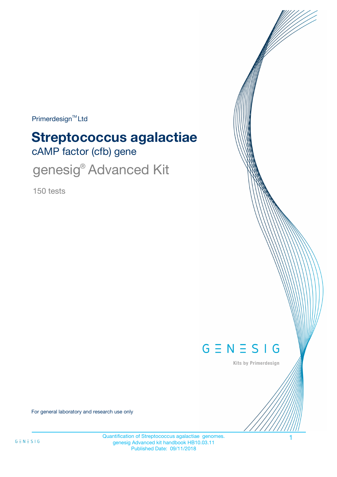$Primerdesign^{\text{TM}}$ Ltd

# cAMP factor (cfb) gene **Streptococcus agalactiae**

genesig® Advanced Kit

150 tests



Kits by Primerdesign

For general laboratory and research use only

Quantification of Streptococcus agalactiae genomes. 1 genesig Advanced kit handbook HB10.03.11 Published Date: 09/11/2018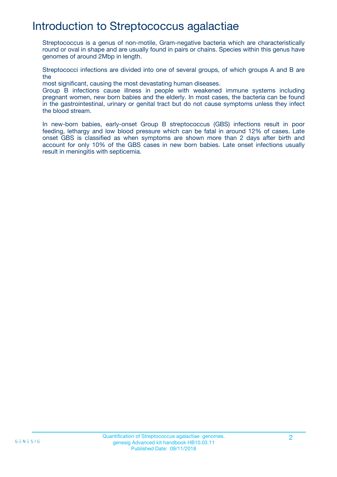## Introduction to Streptococcus agalactiae

Streptococcus is a genus of non-motile, Gram-negative bacteria which are characteristically round or oval in shape and are usually found in pairs or chains. Species within this genus have genomes of around 2Mbp in length.

Streptococci infections are divided into one of several groups, of which groups A and B are the

most significant, causing the most devastating human diseases.

Group B infections cause illness in people with weakened immune systems including pregnant women, new born babies and the elderly. In most cases, the bacteria can be found in the gastrointestinal, urinary or genital tract but do not cause symptoms unless they infect the blood stream.

In new-born babies, early-onset Group B streptococcus (GBS) infections result in poor feeding, lethargy and low blood pressure which can be fatal in around 12% of cases. Late onset GBS is classified as when symptoms are shown more than 2 days after birth and account for only 10% of the GBS cases in new born babies. Late onset infections usually result in meningitis with septicemia.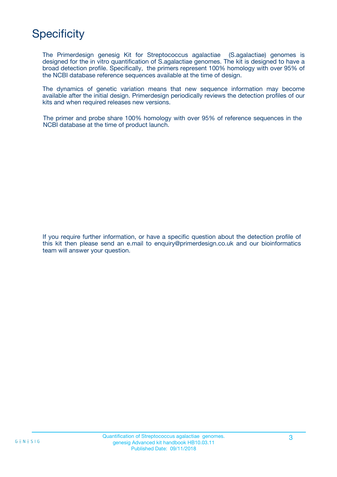# **Specificity**

The Primerdesign genesig Kit for Streptococcus agalactiae (S.agalactiae) genomes is designed for the in vitro quantification of S.agalactiae genomes. The kit is designed to have a broad detection profile. Specifically, the primers represent 100% homology with over 95% of the NCBI database reference sequences available at the time of design.

The dynamics of genetic variation means that new sequence information may become available after the initial design. Primerdesign periodically reviews the detection profiles of our kits and when required releases new versions.

The primer and probe share 100% homology with over 95% of reference sequences in the NCBI database at the time of product launch.

If you require further information, or have a specific question about the detection profile of this kit then please send an e.mail to enquiry@primerdesign.co.uk and our bioinformatics team will answer your question.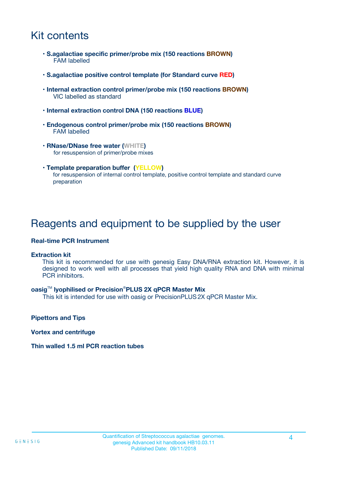## Kit contents

- **S.agalactiae specific primer/probe mix (150 reactions BROWN)** FAM labelled
- **S.agalactiae positive control template (for Standard curve RED)**
- **Internal extraction control primer/probe mix (150 reactions BROWN)** VIC labelled as standard
- **Internal extraction control DNA (150 reactions BLUE)**
- **Endogenous control primer/probe mix (150 reactions BROWN)** FAM labelled
- **RNase/DNase free water (WHITE)** for resuspension of primer/probe mixes
- **Template preparation buffer (YELLOW)** for resuspension of internal control template, positive control template and standard curve preparation

### Reagents and equipment to be supplied by the user

#### **Real-time PCR Instrument**

#### **Extraction kit**

This kit is recommended for use with genesig Easy DNA/RNA extraction kit. However, it is designed to work well with all processes that yield high quality RNA and DNA with minimal PCR inhibitors.

#### **oasig**TM **lyophilised or Precision**®**PLUS 2X qPCR Master Mix**

This kit is intended for use with oasig or PrecisionPLUS2X qPCR Master Mix.

**Pipettors and Tips**

**Vortex and centrifuge**

#### **Thin walled 1.5 ml PCR reaction tubes**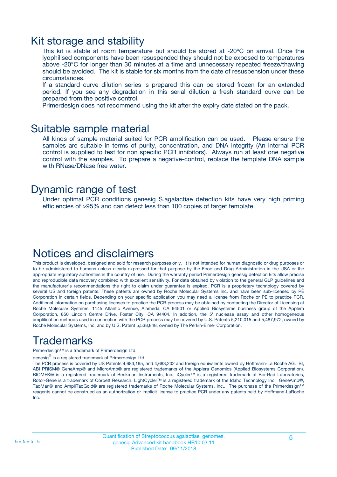### Kit storage and stability

This kit is stable at room temperature but should be stored at -20ºC on arrival. Once the lyophilised components have been resuspended they should not be exposed to temperatures above -20°C for longer than 30 minutes at a time and unnecessary repeated freeze/thawing should be avoided. The kit is stable for six months from the date of resuspension under these circumstances.

If a standard curve dilution series is prepared this can be stored frozen for an extended period. If you see any degradation in this serial dilution a fresh standard curve can be prepared from the positive control.

Primerdesign does not recommend using the kit after the expiry date stated on the pack.

### Suitable sample material

All kinds of sample material suited for PCR amplification can be used. Please ensure the samples are suitable in terms of purity, concentration, and DNA integrity (An internal PCR control is supplied to test for non specific PCR inhibitors). Always run at least one negative control with the samples. To prepare a negative-control, replace the template DNA sample with RNase/DNase free water.

### Dynamic range of test

Under optimal PCR conditions genesig S.agalactiae detection kits have very high priming efficiencies of >95% and can detect less than 100 copies of target template.

### Notices and disclaimers

This product is developed, designed and sold for research purposes only. It is not intended for human diagnostic or drug purposes or to be administered to humans unless clearly expressed for that purpose by the Food and Drug Administration in the USA or the appropriate regulatory authorities in the country of use. During the warranty period Primerdesign genesig detection kits allow precise and reproducible data recovery combined with excellent sensitivity. For data obtained by violation to the general GLP guidelines and the manufacturer's recommendations the right to claim under guarantee is expired. PCR is a proprietary technology covered by several US and foreign patents. These patents are owned by Roche Molecular Systems Inc. and have been sub-licensed by PE Corporation in certain fields. Depending on your specific application you may need a license from Roche or PE to practice PCR. Additional information on purchasing licenses to practice the PCR process may be obtained by contacting the Director of Licensing at Roche Molecular Systems, 1145 Atlantic Avenue, Alameda, CA 94501 or Applied Biosystems business group of the Applera Corporation, 850 Lincoln Centre Drive, Foster City, CA 94404. In addition, the 5' nuclease assay and other homogeneous amplification methods used in connection with the PCR process may be covered by U.S. Patents 5,210,015 and 5,487,972, owned by Roche Molecular Systems, Inc, and by U.S. Patent 5,538,848, owned by The Perkin-Elmer Corporation.

## Trademarks

Primerdesign™ is a trademark of Primerdesign Ltd.

genesig $^\circledR$  is a registered trademark of Primerdesign Ltd.

The PCR process is covered by US Patents 4,683,195, and 4,683,202 and foreign equivalents owned by Hoffmann-La Roche AG. BI, ABI PRISM® GeneAmp® and MicroAmp® are registered trademarks of the Applera Genomics (Applied Biosystems Corporation). BIOMEK® is a registered trademark of Beckman Instruments, Inc.; iCycler™ is a registered trademark of Bio-Rad Laboratories, Rotor-Gene is a trademark of Corbett Research. LightCycler™ is a registered trademark of the Idaho Technology Inc. GeneAmp®, TaqMan® and AmpliTaqGold® are registered trademarks of Roche Molecular Systems, Inc., The purchase of the Primerdesign™ reagents cannot be construed as an authorization or implicit license to practice PCR under any patents held by Hoffmann-LaRoche Inc.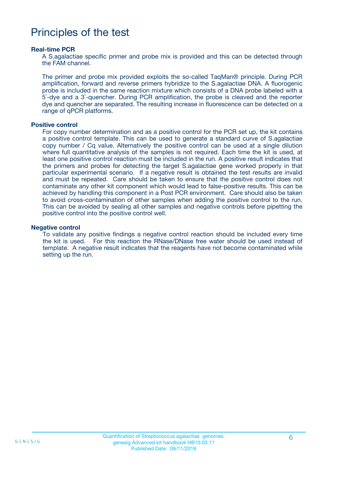### Principles of the test

#### **Real-time PCR**

A S.agalactiae specific primer and probe mix is provided and this can be detected through the FAM channel.

The primer and probe mix provided exploits the so-called TaqMan® principle. During PCR amplification, forward and reverse primers hybridize to the S.agalactiae DNA. A fluorogenic probe is included in the same reaction mixture which consists of a DNA probe labeled with a 5`-dye and a 3`-quencher. During PCR amplification, the probe is cleaved and the reporter dye and quencher are separated. The resulting increase in fluorescence can be detected on a range of qPCR platforms.

#### **Positive control**

For copy number determination and as a positive control for the PCR set up, the kit contains a positive control template. This can be used to generate a standard curve of S.agalactiae copy number / Cq value. Alternatively the positive control can be used at a single dilution where full quantitative analysis of the samples is not required. Each time the kit is used, at least one positive control reaction must be included in the run. A positive result indicates that the primers and probes for detecting the target S.agalactiae gene worked properly in that particular experimental scenario. If a negative result is obtained the test results are invalid and must be repeated. Care should be taken to ensure that the positive control does not contaminate any other kit component which would lead to false-positive results. This can be achieved by handling this component in a Post PCR environment. Care should also be taken to avoid cross-contamination of other samples when adding the positive control to the run. This can be avoided by sealing all other samples and negative controls before pipetting the positive control into the positive control well.

#### **Negative control**

To validate any positive findings a negative control reaction should be included every time the kit is used. For this reaction the RNase/DNase free water should be used instead of template. A negative result indicates that the reagents have not become contaminated while setting up the run.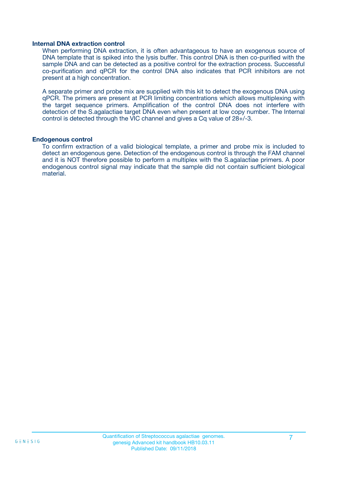#### **Internal DNA extraction control**

When performing DNA extraction, it is often advantageous to have an exogenous source of DNA template that is spiked into the lysis buffer. This control DNA is then co-purified with the sample DNA and can be detected as a positive control for the extraction process. Successful co-purification and qPCR for the control DNA also indicates that PCR inhibitors are not present at a high concentration.

A separate primer and probe mix are supplied with this kit to detect the exogenous DNA using qPCR. The primers are present at PCR limiting concentrations which allows multiplexing with the target sequence primers. Amplification of the control DNA does not interfere with detection of the S.agalactiae target DNA even when present at low copy number. The Internal control is detected through the VIC channel and gives a Cq value of 28+/-3.

#### **Endogenous control**

To confirm extraction of a valid biological template, a primer and probe mix is included to detect an endogenous gene. Detection of the endogenous control is through the FAM channel and it is NOT therefore possible to perform a multiplex with the S.agalactiae primers. A poor endogenous control signal may indicate that the sample did not contain sufficient biological material.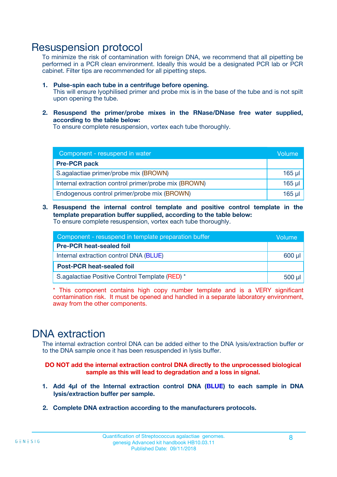### Resuspension protocol

To minimize the risk of contamination with foreign DNA, we recommend that all pipetting be performed in a PCR clean environment. Ideally this would be a designated PCR lab or PCR cabinet. Filter tips are recommended for all pipetting steps.

- **1. Pulse-spin each tube in a centrifuge before opening.** This will ensure lyophilised primer and probe mix is in the base of the tube and is not spilt upon opening the tube.
- **2. Resuspend the primer/probe mixes in the RNase/DNase free water supplied, according to the table below:**

To ensure complete resuspension, vortex each tube thoroughly.

| Component - resuspend in water                       |          |  |
|------------------------------------------------------|----------|--|
| <b>Pre-PCR pack</b>                                  |          |  |
| S.agalactiae primer/probe mix (BROWN)                | $165$ µl |  |
| Internal extraction control primer/probe mix (BROWN) | $165$ µl |  |
| Endogenous control primer/probe mix (BROWN)          | 165 µl   |  |

**3. Resuspend the internal control template and positive control template in the template preparation buffer supplied, according to the table below:** To ensure complete resuspension, vortex each tube thoroughly.

| Component - resuspend in template preparation buffer |  |  |  |
|------------------------------------------------------|--|--|--|
| <b>Pre-PCR heat-sealed foil</b>                      |  |  |  |
| Internal extraction control DNA (BLUE)               |  |  |  |
| <b>Post-PCR heat-sealed foil</b>                     |  |  |  |
| S.agalactiae Positive Control Template (RED) *       |  |  |  |

\* This component contains high copy number template and is a VERY significant contamination risk. It must be opened and handled in a separate laboratory environment, away from the other components.

### DNA extraction

The internal extraction control DNA can be added either to the DNA lysis/extraction buffer or to the DNA sample once it has been resuspended in lysis buffer.

**DO NOT add the internal extraction control DNA directly to the unprocessed biological sample as this will lead to degradation and a loss in signal.**

- **1. Add 4µl of the Internal extraction control DNA (BLUE) to each sample in DNA lysis/extraction buffer per sample.**
- **2. Complete DNA extraction according to the manufacturers protocols.**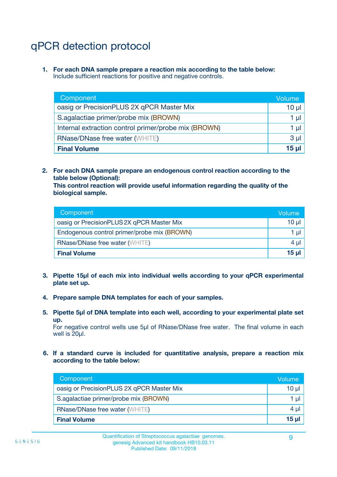# qPCR detection protocol

**1. For each DNA sample prepare a reaction mix according to the table below:** Include sufficient reactions for positive and negative controls.

| Component                                            | Volume   |
|------------------------------------------------------|----------|
| oasig or PrecisionPLUS 2X qPCR Master Mix            | $10 \mu$ |
| S.agalactiae primer/probe mix (BROWN)                | 1 µI     |
| Internal extraction control primer/probe mix (BROWN) | 1 µl     |
| <b>RNase/DNase free water (WHITE)</b>                | $3 \mu$  |
| <b>Final Volume</b>                                  | 15 µl    |

**2. For each DNA sample prepare an endogenous control reaction according to the table below (Optional):**

**This control reaction will provide useful information regarding the quality of the biological sample.**

| Component                                   | Volume   |
|---------------------------------------------|----------|
| oasig or PrecisionPLUS 2X qPCR Master Mix   | $10 \mu$ |
| Endogenous control primer/probe mix (BROWN) | 1 µI     |
| <b>RNase/DNase free water (WHITE)</b>       | $4 \mu$  |
| <b>Final Volume</b>                         | 15 µl    |

- **3. Pipette 15µl of each mix into individual wells according to your qPCR experimental plate set up.**
- **4. Prepare sample DNA templates for each of your samples.**
- **5. Pipette 5µl of DNA template into each well, according to your experimental plate set up.**

For negative control wells use 5µl of RNase/DNase free water. The final volume in each well is 20ul.

**6. If a standard curve is included for quantitative analysis, prepare a reaction mix according to the table below:**

| Component                                 | Volume       |
|-------------------------------------------|--------------|
| oasig or PrecisionPLUS 2X qPCR Master Mix | 10 ul        |
| S.agalactiae primer/probe mix (BROWN)     |              |
| RNase/DNase free water (WHITE)            | 4 µl         |
| <b>Final Volume</b>                       | <u>15 µl</u> |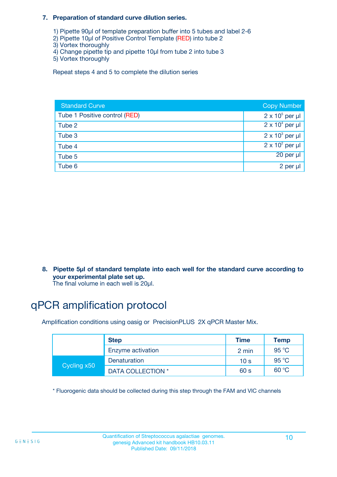#### **7. Preparation of standard curve dilution series.**

- 1) Pipette 90µl of template preparation buffer into 5 tubes and label 2-6
- 2) Pipette 10µl of Positive Control Template (RED) into tube 2
- 3) Vortex thoroughly
- 4) Change pipette tip and pipette 10µl from tube 2 into tube 3
- 5) Vortex thoroughly

Repeat steps 4 and 5 to complete the dilution series

| <b>Standard Curve</b>         | <b>Copy Number</b>     |
|-------------------------------|------------------------|
| Tube 1 Positive control (RED) | $2 \times 10^5$ per µl |
| Tube 2                        | $2 \times 10^4$ per µl |
| Tube 3                        | $2 \times 10^3$ per µl |
| Tube 4                        | $2 \times 10^2$ per µl |
| Tube 5                        | 20 per µl              |
| Tube 6                        | 2 per µl               |

**8. Pipette 5µl of standard template into each well for the standard curve according to your experimental plate set up.**

#### The final volume in each well is 20µl.

## qPCR amplification protocol

Amplification conditions using oasig or PrecisionPLUS 2X qPCR Master Mix.

|             | <b>Step</b>       | <b>Time</b>     | Temp    |
|-------------|-------------------|-----------------|---------|
|             | Enzyme activation | 2 min           | 95 °C   |
| Cycling x50 | Denaturation      | 10 <sub>s</sub> | 95 $°C$ |
|             | DATA COLLECTION * | 60 s            | 60 °C   |

\* Fluorogenic data should be collected during this step through the FAM and VIC channels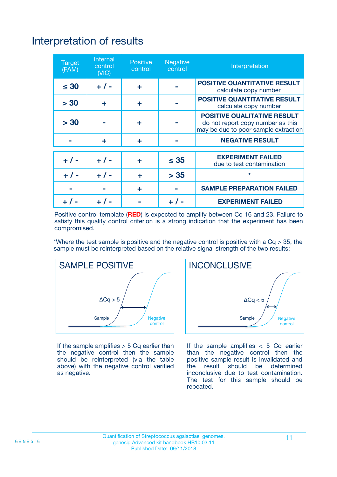# Interpretation of results

| <b>Target</b><br>(FAM) | <b>Internal</b><br>control<br>(NIC) | <b>Positive</b><br>control | <b>Negative</b><br>control | Interpretation                                                                                                  |
|------------------------|-------------------------------------|----------------------------|----------------------------|-----------------------------------------------------------------------------------------------------------------|
| $\leq 30$              | $+ 1 -$                             | ÷                          |                            | <b>POSITIVE QUANTITATIVE RESULT</b><br>calculate copy number                                                    |
| > 30                   | ٠                                   | ÷                          |                            | <b>POSITIVE QUANTITATIVE RESULT</b><br>calculate copy number                                                    |
| > 30                   |                                     | ÷                          |                            | <b>POSITIVE QUALITATIVE RESULT</b><br>do not report copy number as this<br>may be due to poor sample extraction |
|                        | ÷                                   | ÷                          |                            | <b>NEGATIVE RESULT</b>                                                                                          |
| $+ 1 -$                | $+ 1 -$                             | ÷                          | $\leq$ 35                  | <b>EXPERIMENT FAILED</b><br>due to test contamination                                                           |
| $+$ / -                | $+ 1 -$                             | ÷                          | > 35                       | $\star$                                                                                                         |
|                        |                                     | ÷                          |                            | <b>SAMPLE PREPARATION FAILED</b>                                                                                |
|                        |                                     |                            | $+$ /                      | <b>EXPERIMENT FAILED</b>                                                                                        |

Positive control template (**RED**) is expected to amplify between Cq 16 and 23. Failure to satisfy this quality control criterion is a strong indication that the experiment has been compromised.

\*Where the test sample is positive and the negative control is positive with a  $Ca > 35$ , the sample must be reinterpreted based on the relative signal strength of the two results:



If the sample amplifies  $> 5$  Cq earlier than the negative control then the sample should be reinterpreted (via the table above) with the negative control verified as negative.



If the sample amplifies  $< 5$  Cq earlier than the negative control then the positive sample result is invalidated and<br>the result should be determined  $the$  result should be inconclusive due to test contamination. The test for this sample should be repeated.